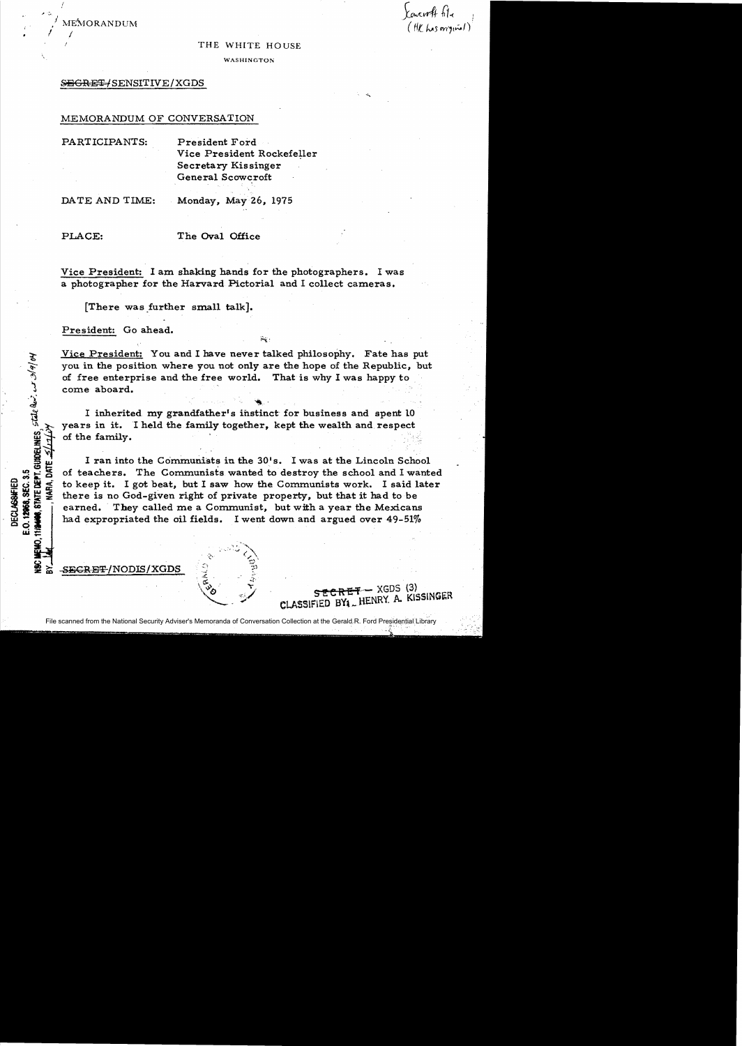MEMORANDUM  $\frac{1}{2}$  MEMORANDOM  $\left(\frac{H}{k}$  has original)

 $\star$  -;

!

#### THE WHITE HOUSE

 $\chi$ ancm $\gamma$ t til 1

WASHINGTON

# SEGRET-SENSITIVE/XGDS

## MEMORANDUM OF CONVERSATION

PARTICIPANTS:

President Ford Vice President Rockefeller Secretary Kissinger General Scowcroft

DATE AND TIME: Monday, May 26, 1975

PLACE:

**POD, OCEN. 0.3**<br>STATE DEPT, GUIDELINES, STATE Qu'i, un 19/9/04

12968, SEC. 3.5 DECLASSIFIED

**IARA. DATE** 

## The Oval Office

Vice President: I am shaking hands for the photographers. I was a photographer for the Harvard Pictorial and I collect cameras.

[There was further small talk].

President: Go ahead.

Vice President: You and I have never talked philosophy. Fate has put you in the position where you not only are the hope of the Republic, but of free enterprise and the free world. That is why I was happy to . come aboard.

.. '

I inherited my grandfather's instinct for business and spent 10 years in it. I held the family together, kept the wealth and. respect of the family.

I ran into the Communists in the 30's. I was at the Lincoln School of teachers. The Communists wanted to destroy the school and I wanted to keep it. I got beat, but I saw how the Communists work. I said later there is no God-given right of private property, but that it had to be earned. They called me a Communist, but with a year the Mexicans had expropriated the oil fields. I went down and argued over  $49-51\%$ 

~ ~ S:B€RET /NODIS/XGDS

 $SERC$  $F$ =  $XGDS$  (3) CLASSIFIED BY<sub>1</sub> ... HENRY. A. KISSINGER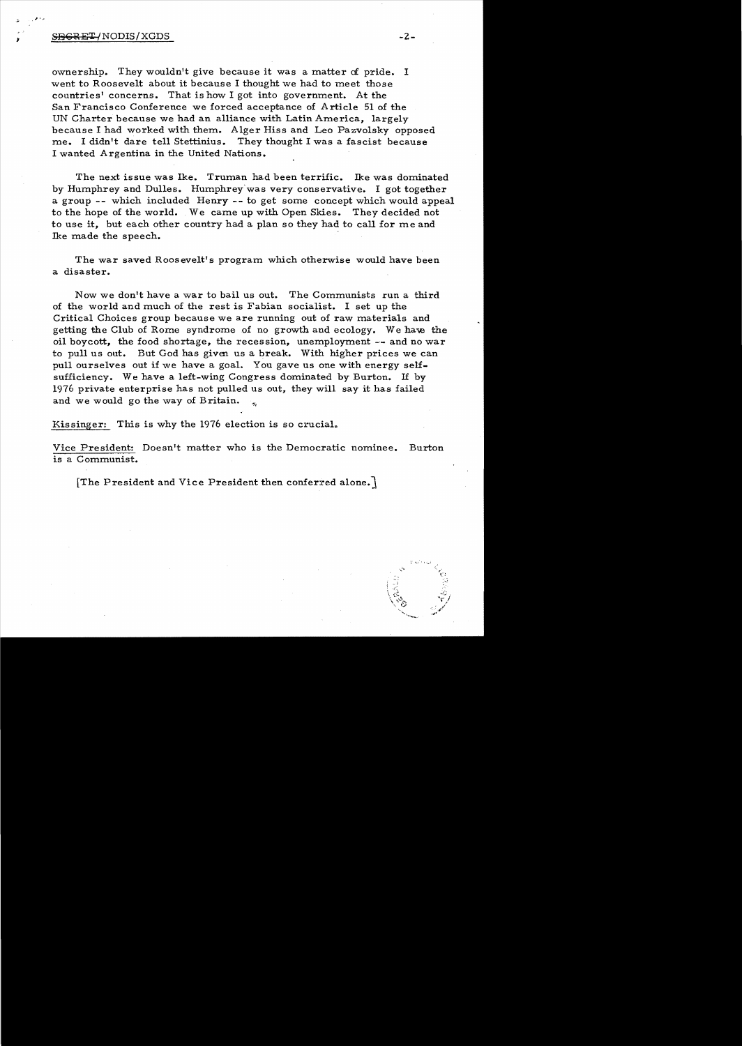### $S$ <del>discript</del>/nodis/xgds -2- $\sim$

ownership. They wouldn't give because it was a matter of pride. I went to Roosevelt about it because I thought we had to meet those countries' concerns. That is how I got into government. At the San Francisco Conference we forced acceptance of Article 51 of the UN Charter because we had an alliance with Latin America. largely because I had worked with them. Alger Hiss and Leo Pazvolsky opposed me. I didn't dare tell Stettinius. They thought I was a fascist because I wanted Argentina in the United Nations.

The next issue was Ike. Truman had been terrific. Ike was dominated by Humphrey and Dulles. Humphrey was very conservative. I got together a group  $--$  which included Henry  $--$  to get some concept which would appeal to the hope of the world. We came up with Open Skies. They decided not to use it, but each other country had a plan so they had to call for me and Ike made the speech.

The war saved Roosevelt's program which otherwise would have been a disaster.

Now we don't have a war to bail us out. The Communists run a third of the world and much of the rest is Fabian socialist. I set up the Critical Choices group because we are running out of raw materials and getting the Club of Rome syndrome of no growth and ecology. We have the oil boycott, the food shortage, the recession, unemployment  $-$ - and no war to pull us out. But God has given us a break. With higher prices we can pull ourselves out if we have a goal. You gave us one with energy selfsufficiency. We have a left-wing Congress dominated by Burton. If by 1976 private enterprise has not pulled us out, they will say it has failed and we would go the way of Britain.

Kissinger: This is why the 1976 election is so crucial.

Vice President: Doesn't matter who is the Democratic nominee. Burton is a Communist.

[The President and Vice President then conferred alone.]

 $\tau$  ...  $\tau$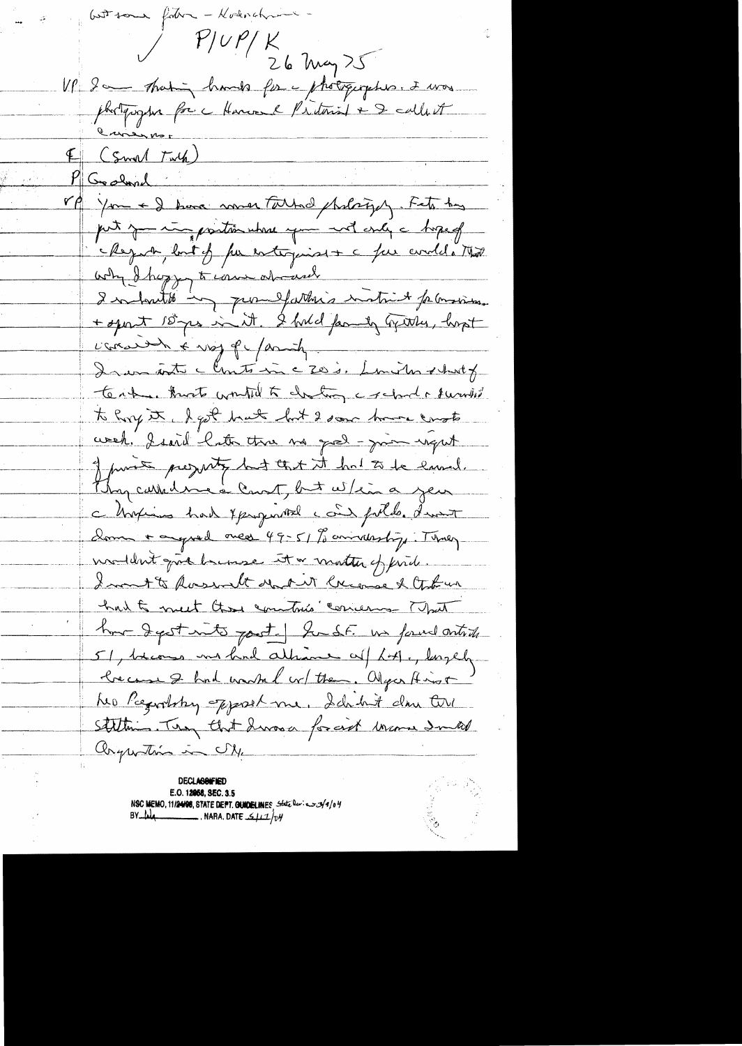$P/UP/K$ 26 May 25 VP 2 - That hands for photographies. I was photographs for a Huncol Pretorial & De called E (Smal Tuck)  $P|$  Goodmal rp you + I have more touted photograph. Fets they just jumment position where you with only a tripped chequen, but of for entrying + c for condela Mod why thoppy to come about I interest in pour efather's instruct for considera-+ sport 10 ps in it. I hold family gritter, hopt unanish & voy of / anch. In un antic Christian c Zo i. Louito short f texterne trusts wonted to chating a retard a furnishing to Roy it. I got bruth but I some have consto week. I said hater three me goed - given ungut J purite prejusty hat that it had to be laved. Thy carried me a count, but when a year a traping had yourgenous can follo dement Dom + argued once 49-51 % anivelesting. They modelnt grock hunse it a motter of pard. I mont to possible render the more & the un had to meet those countries concerns That have Jegest into part. In S.F. in found ontite 51, becomes un had alliance af Litt, longely because & had worked w/ them. Olyce And of he Regrowthy opposed me, I do but down the stilling Tuy that Iwas a for and warm In all Organition in CM.

**DECLASSIFIED** E.O. 12058, SEC. 3.5 NSC MEMO, 11/24/98, STATE DEPT. GUIDELINES State Review 3/2/04  $BY$ **NARA, DATE**  $\frac{1}{2} \mu$